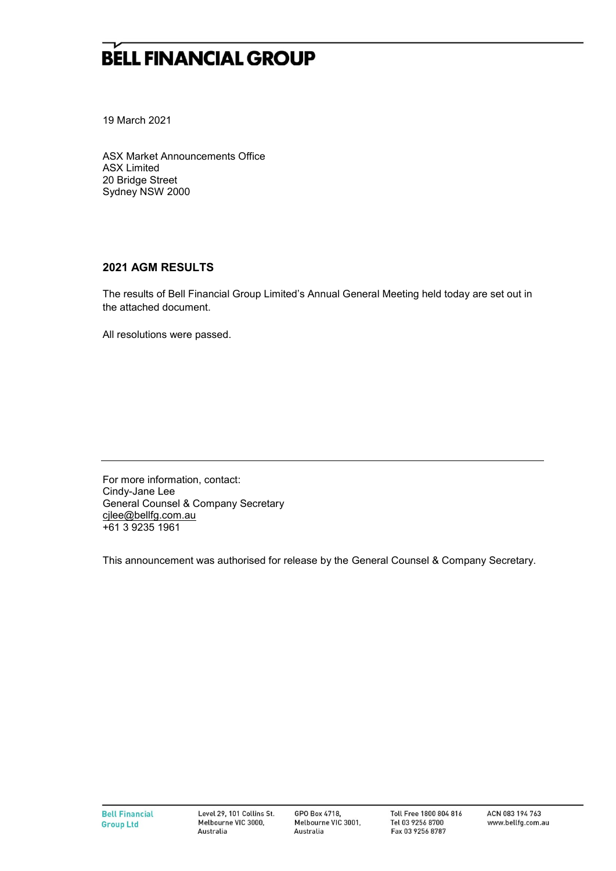## **BELL FINANCIAL GROUP**

19 March 2021

ASX Market Announcements Office ASX Limited 20 Bridge Street Sydney NSW 2000

## **2021 AGM RESULTS**

The results of Bell Financial Group Limited's Annual General Meeting held today are set out in the attached document.

All resolutions were passed.

For more information, contact: Cindy-Jane Lee General Counsel & Company Secretary [cjlee@bellfg.com.au](mailto:cjlee@bellfg.com.au) +61 3 9235 1961

This announcement was authorised for release by the General Counsel & Company Secretary.